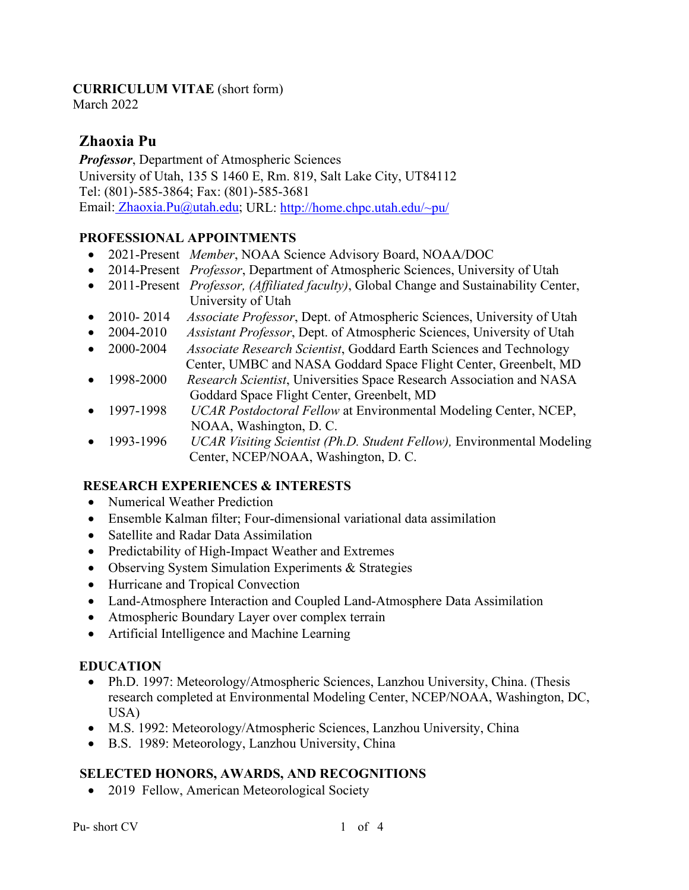### **CURRICULUM VITAE** (short form)

March 2022

# **Zhaoxia Pu**

*Professor*, Department of Atmospheric Sciences University of Utah, 135 S 1460 E, Rm. 819, Salt Lake City, UT84112 Tel: (801)-585-3864; Fax: (801)-585-3681 Email: Zhaoxia.Pu@utah.edu; URL: http://home.chpc.utah.edu/~pu/

## **PROFESSIONAL APPOINTMENTS**

- 2021-Present *Member*, NOAA Science Advisory Board, NOAA/DOC
- 2014-Present *Professor*, Department of Atmospheric Sciences, University of Utah
- 2011-Present *Professor, (Affiliated faculty)*, Global Change and Sustainability Center, University of Utah
- 2010- 2014 *Associate Professor*, Dept. of Atmospheric Sciences, University of Utah
- 2004-2010 *Assistant Professor*, Dept. of Atmospheric Sciences, University of Utah
- 2000-2004 *Associate Research Scientist*, Goddard Earth Sciences and Technology Center, UMBC and NASA Goddard Space Flight Center, Greenbelt, MD
- 1998-2000 *Research Scientist*, Universities Space Research Association and NASA Goddard Space Flight Center, Greenbelt, MD
- 1997-1998 *UCAR Postdoctoral Fellow* at Environmental Modeling Center, NCEP, NOAA, Washington, D. C.
- 1993-1996 *UCAR Visiting Scientist (Ph.D. Student Fellow),* Environmental Modeling Center, NCEP/NOAA, Washington, D. C.

## **RESEARCH EXPERIENCES & INTERESTS**

- Numerical Weather Prediction
- Ensemble Kalman filter; Four-dimensional variational data assimilation
- Satellite and Radar Data Assimilation
- Predictability of High-Impact Weather and Extremes
- Observing System Simulation Experiments & Strategies
- Hurricane and Tropical Convection
- Land-Atmosphere Interaction and Coupled Land-Atmosphere Data Assimilation
- Atmospheric Boundary Layer over complex terrain
- Artificial Intelligence and Machine Learning

### **EDUCATION**

- Ph.D. 1997: Meteorology/Atmospheric Sciences, Lanzhou University, China. (Thesis research completed at Environmental Modeling Center, NCEP/NOAA, Washington, DC, USA)
- M.S. 1992: Meteorology/Atmospheric Sciences, Lanzhou University, China
- B.S. 1989: Meteorology, Lanzhou University, China

### **SELECTED HONORS, AWARDS, AND RECOGNITIONS**

• 2019 Fellow, American Meteorological Society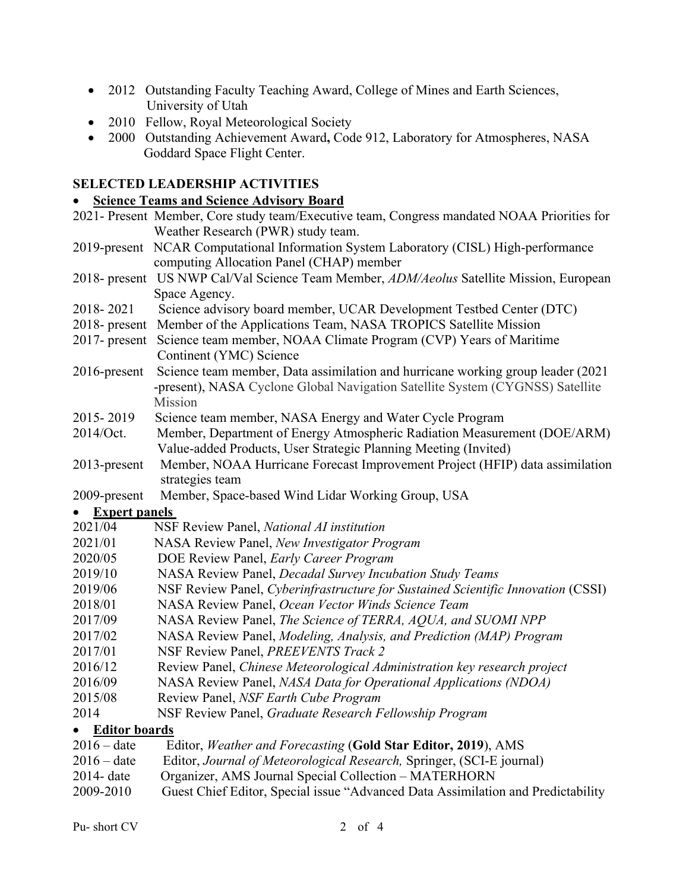- 2012 Outstanding Faculty Teaching Award, College of Mines and Earth Sciences, University of Utah
- 2010 Fellow, Royal Meteorological Society
- 2000 Outstanding Achievement Award**,** Code 912, Laboratory for Atmospheres, NASA Goddard Space Flight Center.

## **SELECTED LEADERSHIP ACTIVITIES**

#### • **Science Teams and Science Advisory Board**

|                      | 2021- Present Member, Core study team/Executive team, Congress mandated NOAA Priorities for |
|----------------------|---------------------------------------------------------------------------------------------|
|                      | Weather Research (PWR) study team.                                                          |
|                      | 2019-present NCAR Computational Information System Laboratory (CISL) High-performance       |
|                      | computing Allocation Panel (CHAP) member                                                    |
|                      | 2018- present US NWP Cal/Val Science Team Member, ADM/Aeolus Satellite Mission, European    |
|                      | Space Agency.                                                                               |
| 2018-2021            | Science advisory board member, UCAR Development Testbed Center (DTC)                        |
| $2018$ - present     | Member of the Applications Team, NASA TROPICS Satellite Mission                             |
| $2017$ - present     | Science team member, NOAA Climate Program (CVP) Years of Maritime                           |
|                      | Continent (YMC) Science                                                                     |
| $2016$ -present      | Science team member, Data assimilation and hurricane working group leader (2021             |
|                      | -present), NASA Cyclone Global Navigation Satellite System (CYGNSS) Satellite               |
|                      | Mission                                                                                     |
| 2015-2019            | Science team member, NASA Energy and Water Cycle Program                                    |
| 2014/Oct.            | Member, Department of Energy Atmospheric Radiation Measurement (DOE/ARM)                    |
|                      | Value-added Products, User Strategic Planning Meeting (Invited)                             |
| 2013-present         | Member, NOAA Hurricane Forecast Improvement Project (HFIP) data assimilation                |
|                      | strategies team                                                                             |
| 2009-present         | Member, Space-based Wind Lidar Working Group, USA                                           |
| <b>Expert panels</b> |                                                                                             |
| 2021/04              | NSF Review Panel, National AI institution                                                   |
| 2021/01              | NASA Review Panel, New Investigator Program                                                 |
| 2020/05              | DOE Review Panel, Early Career Program                                                      |
| 2019/10              | NASA Review Panel, Decadal Survey Incubation Study Teams                                    |
| 2019/06              | NSF Review Panel, Cyberinfrastructure for Sustained Scientific Innovation (CSSI)            |
| 2018/01              | NASA Review Panel, Ocean Vector Winds Science Team                                          |
| 2017/09              | NASA Review Panel, The Science of TERRA, AQUA, and SUOMI NPP                                |
| 2017/02              | NASA Review Panel, Modeling, Analysis, and Prediction (MAP) Program                         |
| 2017/01              | NSF Review Panel, PREEVENTS Track 2                                                         |
| 2016/12              | Review Panel, Chinese Meteorological Administration key research project                    |
| 2016/09              | NASA Review Panel, NASA Data for Operational Applications (NDOA)                            |
| 2015/08              | Review Panel, NSF Earth Cube Program                                                        |
| 2014                 | NSF Review Panel, Graduate Research Fellowship Program                                      |
| <b>Editor boards</b> |                                                                                             |
| $2016 - date$        | Editor, Weather and Forecasting (Gold Star Editor, 2019), AMS                               |
| $2016 - date$        | Editor, Journal of Meteorological Research, Springer, (SCI-E journal)                       |
| 2014- date           | Organizer, AMS Journal Special Collection - MATERHORN                                       |

2009-2010 Guest Chief Editor, Special issue "Advanced Data Assimilation and Predictability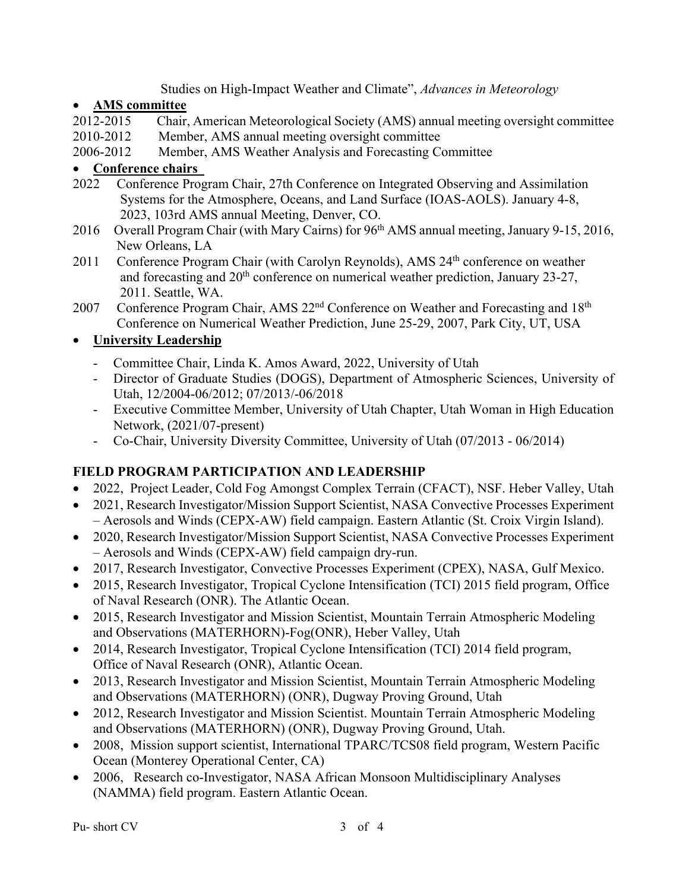Studies on High-Impact Weather and Climate", *Advances in Meteorology*

## • **AMS committee**

- 2012-2015 Chair, American Meteorological Society (AMS) annual meeting oversight committee
- 2010-2012 Member, AMS annual meeting oversight committee
- 2006-2012 Member, AMS Weather Analysis and Forecasting Committee

## • **Conference chairs**

- 2022 Conference Program Chair, 27th Conference on Integrated Observing and Assimilation Systems for the Atmosphere, Oceans, and Land Surface (IOAS-AOLS). January 4-8, 2023, 103rd AMS annual Meeting, Denver, CO.
- 2016 Overall Program Chair (with Mary Cairns) for 96<sup>th</sup> AMS annual meeting, January 9-15, 2016, New Orleans, LA
- 2011 Conference Program Chair (with Carolyn Reynolds), AMS 24<sup>th</sup> conference on weather and forecasting and 20<sup>th</sup> conference on numerical weather prediction, January 23-27, 2011. Seattle, WA.
- 2007 Conference Program Chair, AMS 22<sup>nd</sup> Conference on Weather and Forecasting and 18<sup>th</sup> Conference on Numerical Weather Prediction, June 25-29, 2007, Park City, UT, USA

# • **University Leadership**

- Committee Chair, Linda K. Amos Award, 2022, University of Utah
- Director of Graduate Studies (DOGS), Department of Atmospheric Sciences, University of Utah, 12/2004-06/2012; 07/2013/-06/2018
- Executive Committee Member, University of Utah Chapter, Utah Woman in High Education Network, (2021/07-present)
- Co-Chair, University Diversity Committee, University of Utah (07/2013 06/2014)

# **FIELD PROGRAM PARTICIPATION AND LEADERSHIP**

- 2022, Project Leader, Cold Fog Amongst Complex Terrain (CFACT), NSF. Heber Valley, Utah
- 2021, Research Investigator/Mission Support Scientist, NASA Convective Processes Experiment – Aerosols and Winds (CEPX-AW) field campaign. Eastern Atlantic (St. Croix Virgin Island).
- 2020, Research Investigator/Mission Support Scientist, NASA Convective Processes Experiment – Aerosols and Winds (CEPX-AW) field campaign dry-run.
- 2017, Research Investigator, Convective Processes Experiment (CPEX), NASA, Gulf Mexico.
- 2015, Research Investigator, Tropical Cyclone Intensification (TCI) 2015 field program, Office of Naval Research (ONR). The Atlantic Ocean.
- 2015, Research Investigator and Mission Scientist, Mountain Terrain Atmospheric Modeling and Observations (MATERHORN)-Fog(ONR), Heber Valley, Utah
- 2014, Research Investigator, Tropical Cyclone Intensification (TCI) 2014 field program, Office of Naval Research (ONR), Atlantic Ocean.
- 2013, Research Investigator and Mission Scientist, Mountain Terrain Atmospheric Modeling and Observations (MATERHORN) (ONR), Dugway Proving Ground, Utah
- 2012, Research Investigator and Mission Scientist. Mountain Terrain Atmospheric Modeling and Observations (MATERHORN) (ONR), Dugway Proving Ground, Utah.
- 2008, Mission support scientist, International TPARC/TCS08 field program, Western Pacific Ocean (Monterey Operational Center, CA)
- 2006, Research co-Investigator, NASA African Monsoon Multidisciplinary Analyses (NAMMA) field program. Eastern Atlantic Ocean.